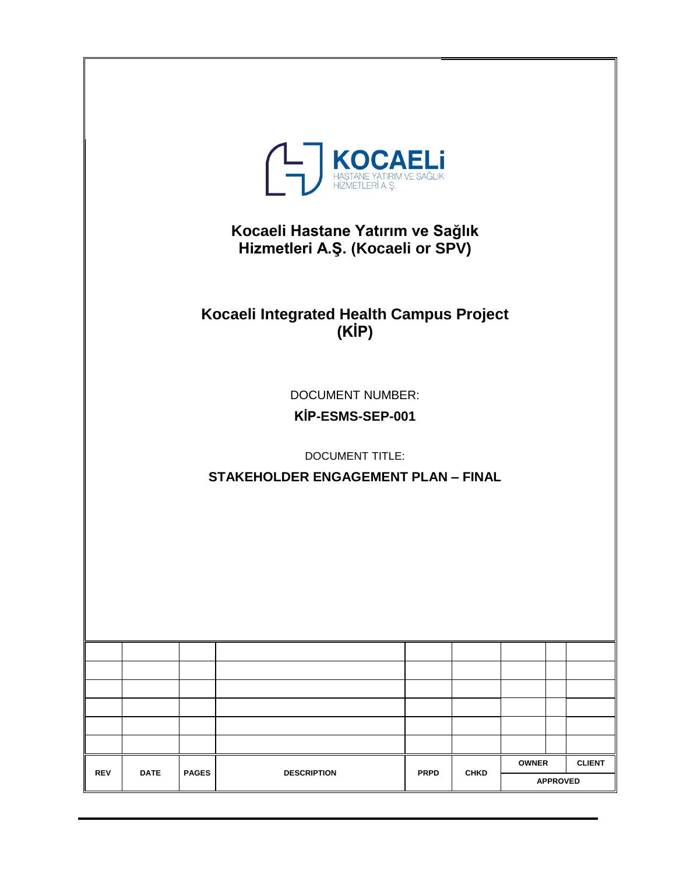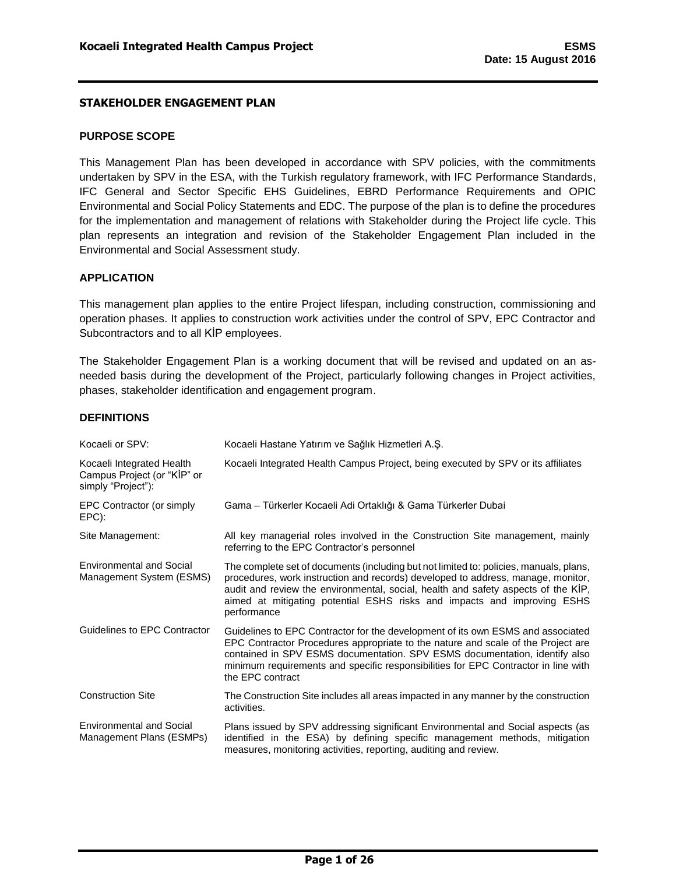#### <span id="page-1-0"></span>**PURPOSE SCOPE**

This Management Plan has been developed in accordance with SPV policies, with the commitments undertaken by SPV in the ESA, with the Turkish regulatory framework, with IFC Performance Standards, IFC General and Sector Specific EHS Guidelines, EBRD Performance Requirements and OPIC Environmental and Social Policy Statements and EDC. The purpose of the plan is to define the procedures for the implementation and management of relations with Stakeholder during the Project life cycle. This plan represents an integration and revision of the Stakeholder Engagement Plan included in the Environmental and Social Assessment study.

#### <span id="page-1-1"></span>**APPLICATION**

This management plan applies to the entire Project lifespan, including construction, commissioning and operation phases. It applies to construction work activities under the control of SPV, EPC Contractor and Subcontractors and to all KİP employees.

The Stakeholder Engagement Plan is a working document that will be revised and updated on an asneeded basis during the development of the Project, particularly following changes in Project activities, phases, stakeholder identification and engagement program.

#### <span id="page-1-2"></span>**DEFINITIONS**

| Kocaeli or SPV:                                                                | Kocaeli Hastane Yatırım ve Sağlık Hizmetleri A.Ş.                                                                                                                                                                                                                                                                                                           |
|--------------------------------------------------------------------------------|-------------------------------------------------------------------------------------------------------------------------------------------------------------------------------------------------------------------------------------------------------------------------------------------------------------------------------------------------------------|
| Kocaeli Integrated Health<br>Campus Project (or "KİP" or<br>simply "Project"): | Kocaeli Integrated Health Campus Project, being executed by SPV or its affiliates                                                                                                                                                                                                                                                                           |
| EPC Contractor (or simply<br>EPC):                                             | Gama - Türkerler Kocaeli Adi Ortaklığı & Gama Türkerler Dubai                                                                                                                                                                                                                                                                                               |
| Site Management:                                                               | All key managerial roles involved in the Construction Site management, mainly<br>referring to the EPC Contractor's personnel                                                                                                                                                                                                                                |
| <b>Environmental and Social</b><br>Management System (ESMS)                    | The complete set of documents (including but not limited to: policies, manuals, plans,<br>procedures, work instruction and records) developed to address, manage, monitor,<br>audit and review the environmental, social, health and safety aspects of the KİP,<br>aimed at mitigating potential ESHS risks and impacts and improving ESHS<br>performance   |
| Guidelines to EPC Contractor                                                   | Guidelines to EPC Contractor for the development of its own ESMS and associated<br>EPC Contractor Procedures appropriate to the nature and scale of the Project are<br>contained in SPV ESMS documentation. SPV ESMS documentation, identify also<br>minimum requirements and specific responsibilities for EPC Contractor in line with<br>the EPC contract |
| <b>Construction Site</b>                                                       | The Construction Site includes all areas impacted in any manner by the construction<br>activities.                                                                                                                                                                                                                                                          |
| <b>Environmental and Social</b><br>Management Plans (ESMPs)                    | Plans issued by SPV addressing significant Environmental and Social aspects (as<br>identified in the ESA) by defining specific management methods, mitigation<br>measures, monitoring activities, reporting, auditing and review.                                                                                                                           |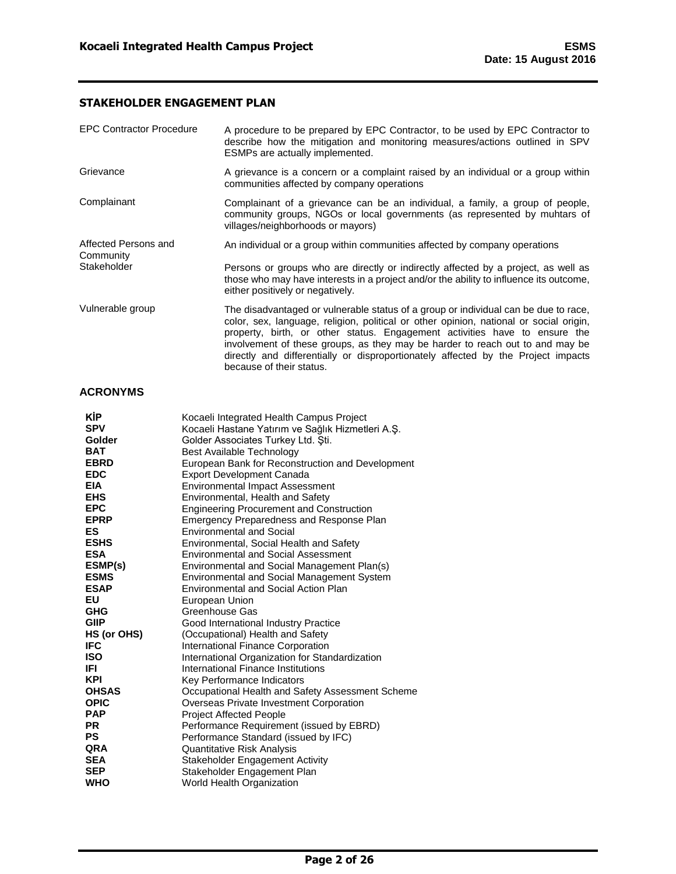| <b>EPC Contractor Procedure</b>   | A procedure to be prepared by EPC Contractor, to be used by EPC Contractor to<br>describe how the mitigation and monitoring measures/actions outlined in SPV<br>ESMPs are actually implemented.                                                                                                                                                                                                                                                               |
|-----------------------------------|---------------------------------------------------------------------------------------------------------------------------------------------------------------------------------------------------------------------------------------------------------------------------------------------------------------------------------------------------------------------------------------------------------------------------------------------------------------|
| Grievance                         | A grievance is a concern or a complaint raised by an individual or a group within<br>communities affected by company operations                                                                                                                                                                                                                                                                                                                               |
| Complainant                       | Complainant of a grievance can be an individual, a family, a group of people,<br>community groups, NGOs or local governments (as represented by muhtars of<br>villages/neighborhoods or mayors)                                                                                                                                                                                                                                                               |
| Affected Persons and<br>Community | An individual or a group within communities affected by company operations                                                                                                                                                                                                                                                                                                                                                                                    |
| Stakeholder                       | Persons or groups who are directly or indirectly affected by a project, as well as<br>those who may have interests in a project and/or the ability to influence its outcome,<br>either positively or negatively.                                                                                                                                                                                                                                              |
| Vulnerable group                  | The disadvantaged or vulnerable status of a group or individual can be due to race,<br>color, sex, language, religion, political or other opinion, national or social origin,<br>property, birth, or other status. Engagement activities have to ensure the<br>involvement of these groups, as they may be harder to reach out to and may be<br>directly and differentially or disproportionately affected by the Project impacts<br>because of their status. |

# <span id="page-2-0"></span>**ACRONYMS**

| KİP          | Kocaeli Integrated Health Campus Project          |
|--------------|---------------------------------------------------|
| <b>SPV</b>   | Kocaeli Hastane Yatırım ve Sağlık Hizmetleri A.Ş. |
| Golder       | Golder Associates Turkey Ltd. Sti.                |
| <b>BAT</b>   | Best Available Technology                         |
| <b>EBRD</b>  | European Bank for Reconstruction and Development  |
| <b>EDC</b>   | <b>Export Development Canada</b>                  |
| <b>EIA</b>   | <b>Environmental Impact Assessment</b>            |
| <b>EHS</b>   | Environmental, Health and Safety                  |
| <b>EPC</b>   | <b>Engineering Procurement and Construction</b>   |
| <b>EPRP</b>  | <b>Emergency Preparedness and Response Plan</b>   |
| ES           | <b>Environmental and Social</b>                   |
| <b>ESHS</b>  | Environmental, Social Health and Safety           |
| <b>ESA</b>   | <b>Environmental and Social Assessment</b>        |
| ESMP(s)      | Environmental and Social Management Plan(s)       |
| <b>ESMS</b>  | <b>Environmental and Social Management System</b> |
| <b>ESAP</b>  | <b>Environmental and Social Action Plan</b>       |
| EU           | European Union                                    |
| <b>GHG</b>   | Greenhouse Gas                                    |
| <b>GIIP</b>  | Good International Industry Practice              |
| HS (or OHS)  | (Occupational) Health and Safety                  |
| <b>IFC</b>   | International Finance Corporation                 |
| <b>ISO</b>   | International Organization for Standardization    |
| IFI          | International Finance Institutions                |
| <b>KPI</b>   | Key Performance Indicators                        |
| <b>OHSAS</b> | Occupational Health and Safety Assessment Scheme  |
| <b>OPIC</b>  | Overseas Private Investment Corporation           |
| <b>PAP</b>   | <b>Project Affected People</b>                    |
| <b>PR</b>    | Performance Requirement (issued by EBRD)          |
| <b>PS</b>    | Performance Standard (issued by IFC)              |
| <b>QRA</b>   | <b>Quantitative Risk Analysis</b>                 |
| <b>SEA</b>   | Stakeholder Engagement Activity                   |
| <b>SEP</b>   | Stakeholder Engagement Plan                       |
| <b>WHO</b>   | World Health Organization                         |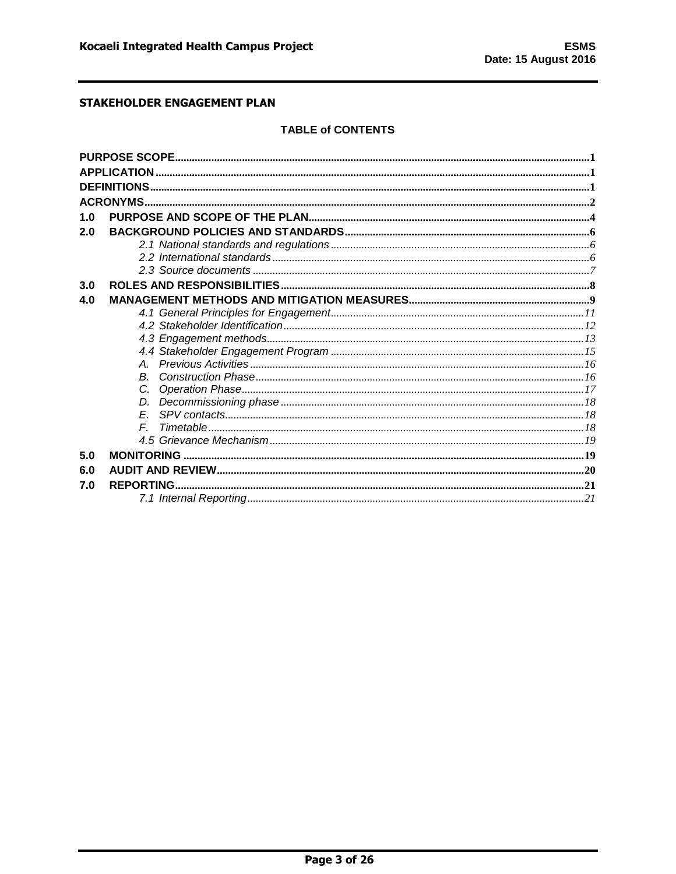# **TABLE of CONTENTS**

| 1.0 |        |  |
|-----|--------|--|
| 2.0 |        |  |
|     |        |  |
|     |        |  |
|     |        |  |
| 3.0 |        |  |
| 4.0 |        |  |
|     |        |  |
|     |        |  |
|     |        |  |
|     |        |  |
|     |        |  |
|     | B.     |  |
|     | C.     |  |
|     |        |  |
|     | F<br>F |  |
|     |        |  |
|     |        |  |
| 5.0 |        |  |
| 6.0 |        |  |
| 7.0 |        |  |
|     |        |  |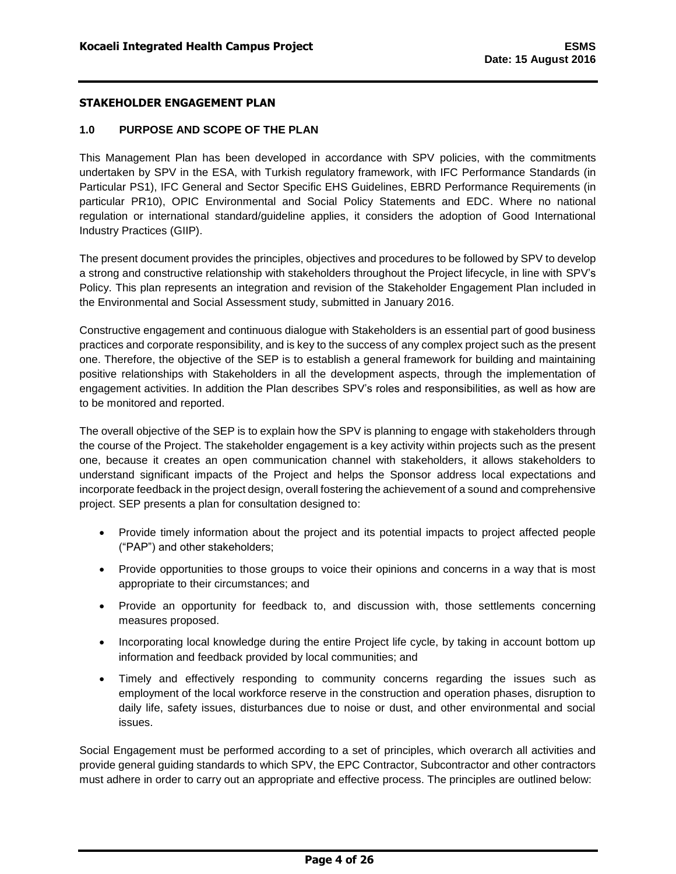### <span id="page-4-0"></span>**1.0 PURPOSE AND SCOPE OF THE PLAN**

This Management Plan has been developed in accordance with SPV policies, with the commitments undertaken by SPV in the ESA, with Turkish regulatory framework, with IFC Performance Standards (in Particular PS1), IFC General and Sector Specific EHS Guidelines, EBRD Performance Requirements (in particular PR10), OPIC Environmental and Social Policy Statements and EDC. Where no national regulation or international standard/guideline applies, it considers the adoption of Good International Industry Practices (GIIP).

The present document provides the principles, objectives and procedures to be followed by SPV to develop a strong and constructive relationship with stakeholders throughout the Project lifecycle, in line with SPV's Policy. This plan represents an integration and revision of the Stakeholder Engagement Plan included in the Environmental and Social Assessment study, submitted in January 2016.

Constructive engagement and continuous dialogue with Stakeholders is an essential part of good business practices and corporate responsibility, and is key to the success of any complex project such as the present one. Therefore, the objective of the SEP is to establish a general framework for building and maintaining positive relationships with Stakeholders in all the development aspects, through the implementation of engagement activities. In addition the Plan describes SPV's roles and responsibilities, as well as how are to be monitored and reported.

The overall objective of the SEP is to explain how the SPV is planning to engage with stakeholders through the course of the Project. The stakeholder engagement is a key activity within projects such as the present one, because it creates an open communication channel with stakeholders, it allows stakeholders to understand significant impacts of the Project and helps the Sponsor address local expectations and incorporate feedback in the project design, overall fostering the achievement of a sound and comprehensive project. SEP presents a plan for consultation designed to:

- Provide timely information about the project and its potential impacts to project affected people ("PAP") and other stakeholders;
- Provide opportunities to those groups to voice their opinions and concerns in a way that is most appropriate to their circumstances; and
- Provide an opportunity for feedback to, and discussion with, those settlements concerning measures proposed.
- Incorporating local knowledge during the entire Project life cycle, by taking in account bottom up information and feedback provided by local communities; and
- Timely and effectively responding to community concerns regarding the issues such as employment of the local workforce reserve in the construction and operation phases, disruption to daily life, safety issues, disturbances due to noise or dust, and other environmental and social issues.

Social Engagement must be performed according to a set of principles, which overarch all activities and provide general guiding standards to which SPV, the EPC Contractor, Subcontractor and other contractors must adhere in order to carry out an appropriate and effective process. The principles are outlined below: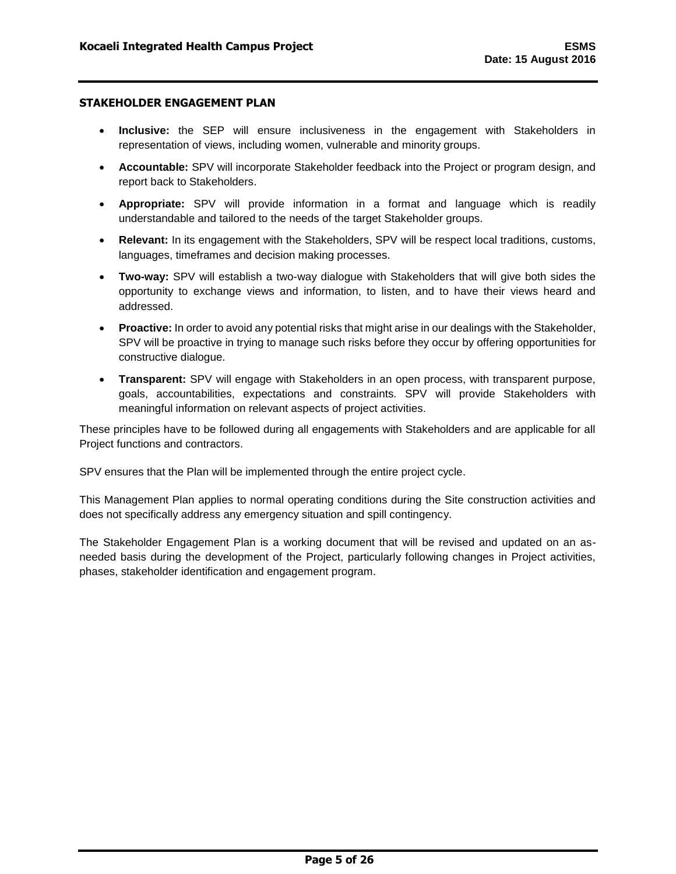- **Inclusive:** the SEP will ensure inclusiveness in the engagement with Stakeholders in representation of views, including women, vulnerable and minority groups.
- **Accountable:** SPV will incorporate Stakeholder feedback into the Project or program design, and report back to Stakeholders.
- **Appropriate:** SPV will provide information in a format and language which is readily understandable and tailored to the needs of the target Stakeholder groups.
- **Relevant:** In its engagement with the Stakeholders, SPV will be respect local traditions, customs, languages, timeframes and decision making processes.
- **Two-way:** SPV will establish a two-way dialogue with Stakeholders that will give both sides the opportunity to exchange views and information, to listen, and to have their views heard and addressed.
- **Proactive:** In order to avoid any potential risks that might arise in our dealings with the Stakeholder, SPV will be proactive in trying to manage such risks before they occur by offering opportunities for constructive dialogue.
- **Transparent:** SPV will engage with Stakeholders in an open process, with transparent purpose, goals, accountabilities, expectations and constraints. SPV will provide Stakeholders with meaningful information on relevant aspects of project activities.

These principles have to be followed during all engagements with Stakeholders and are applicable for all Project functions and contractors.

SPV ensures that the Plan will be implemented through the entire project cycle.

This Management Plan applies to normal operating conditions during the Site construction activities and does not specifically address any emergency situation and spill contingency.

The Stakeholder Engagement Plan is a working document that will be revised and updated on an asneeded basis during the development of the Project, particularly following changes in Project activities, phases, stakeholder identification and engagement program.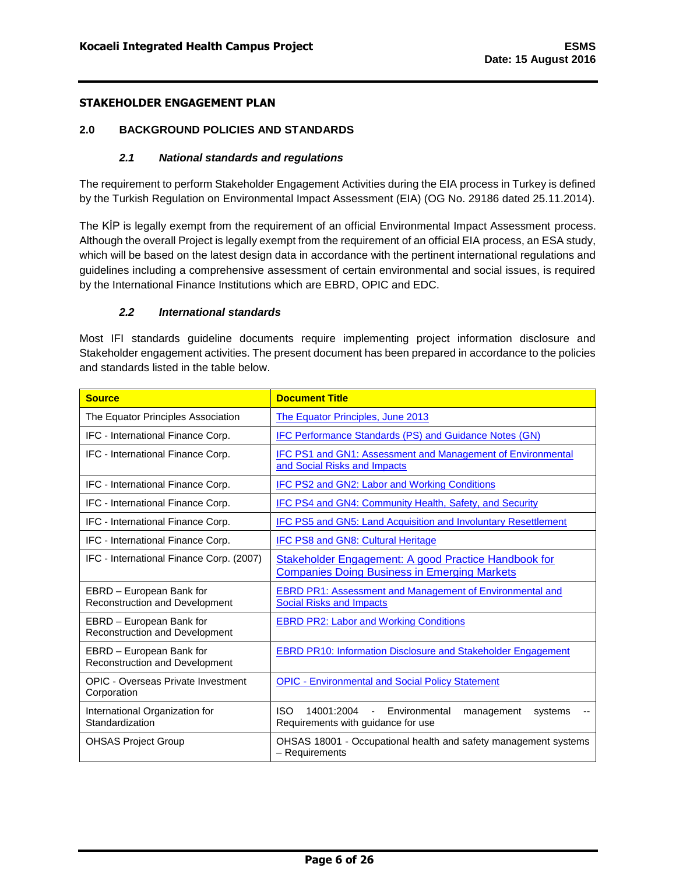# <span id="page-6-0"></span>**2.0 BACKGROUND POLICIES AND STANDARDS**

#### *2.1 National standards and regulations*

<span id="page-6-1"></span>The requirement to perform Stakeholder Engagement Activities during the EIA process in Turkey is defined by the Turkish Regulation on Environmental Impact Assessment (EIA) (OG No. 29186 dated 25.11.2014).

The KİP is legally exempt from the requirement of an official Environmental Impact Assessment process. Although the overall Project is legally exempt from the requirement of an official EIA process, an ESA study, which will be based on the latest design data in accordance with the pertinent international regulations and guidelines including a comprehensive assessment of certain environmental and social issues, is required by the International Finance Institutions which are EBRD, OPIC and EDC.

#### *2.2 International standards*

<span id="page-6-2"></span>Most IFI standards guideline documents require implementing project information disclosure and Stakeholder engagement activities. The present document has been prepared in accordance to the policies and standards listed in the table below.

| <b>Source</b>                                                     | <b>Document Title</b>                                                                                        |  |  |
|-------------------------------------------------------------------|--------------------------------------------------------------------------------------------------------------|--|--|
| The Equator Principles Association                                | The Equator Principles, June 2013                                                                            |  |  |
| IFC - International Finance Corp.                                 | <b>IFC Performance Standards (PS) and Guidance Notes (GN)</b>                                                |  |  |
| IFC - International Finance Corp.                                 | IFC PS1 and GN1: Assessment and Management of Environmental<br>and Social Risks and Impacts                  |  |  |
| IFC - International Finance Corp.                                 | <b>IFC PS2 and GN2: Labor and Working Conditions</b>                                                         |  |  |
| IFC - International Finance Corp.                                 | <b>IFC PS4 and GN4: Community Health, Safety, and Security</b>                                               |  |  |
| IFC - International Finance Corp.                                 | <b>IFC PS5 and GN5: Land Acquisition and Involuntary Resettlement</b>                                        |  |  |
| IFC - International Finance Corp.                                 | <b>IFC PS8 and GN8: Cultural Heritage</b>                                                                    |  |  |
| IFC - International Finance Corp. (2007)                          | Stakeholder Engagement: A good Practice Handbook for<br><b>Companies Doing Business in Emerging Markets</b>  |  |  |
| EBRD - European Bank for<br><b>Reconstruction and Development</b> | <b>EBRD PR1: Assessment and Management of Environmental and</b><br><b>Social Risks and Impacts</b>           |  |  |
| EBRD - European Bank for<br>Reconstruction and Development        | <b>EBRD PR2: Labor and Working Conditions</b>                                                                |  |  |
| EBRD - European Bank for<br><b>Reconstruction and Development</b> | <b>EBRD PR10: Information Disclosure and Stakeholder Engagement</b>                                          |  |  |
| <b>OPIC - Overseas Private Investment</b><br>Corporation          | <b>OPIC - Environmental and Social Policy Statement</b>                                                      |  |  |
| International Organization for<br>Standardization                 | ISO.<br>14001:2004<br>Environmental<br>$\sim$<br>systems<br>management<br>Requirements with guidance for use |  |  |
| <b>OHSAS Project Group</b>                                        | OHSAS 18001 - Occupational health and safety management systems<br>- Requirements                            |  |  |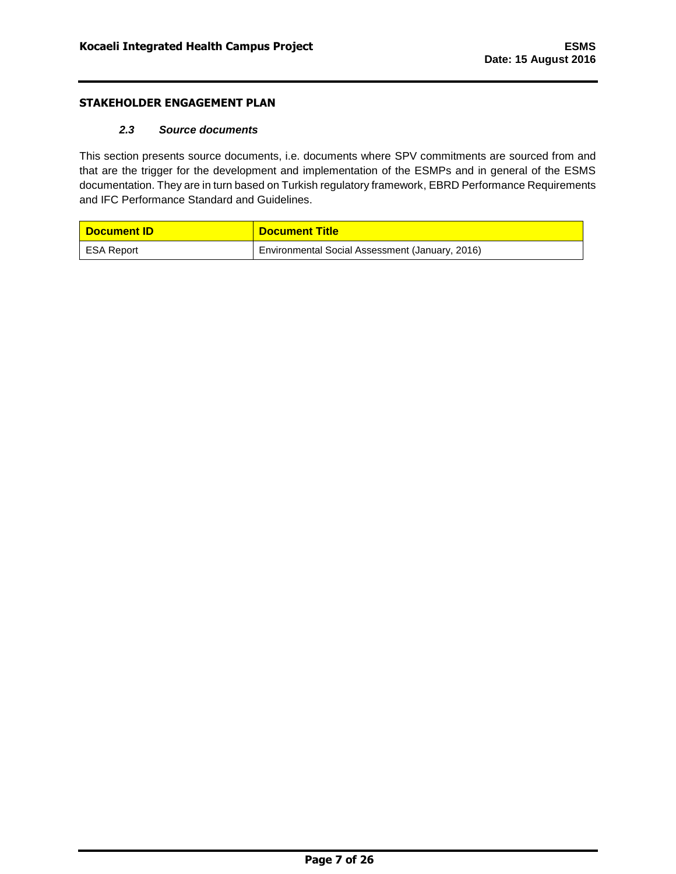#### *2.3 Source documents*

<span id="page-7-0"></span>This section presents source documents, i.e. documents where SPV commitments are sourced from and that are the trigger for the development and implementation of the ESMPs and in general of the ESMS documentation. They are in turn based on Turkish regulatory framework, EBRD Performance Requirements and IFC Performance Standard and Guidelines.

| <mark>∣ Document ID∶</mark> | <b>Document Title</b>                           |
|-----------------------------|-------------------------------------------------|
| ESA Report                  | Environmental Social Assessment (January, 2016) |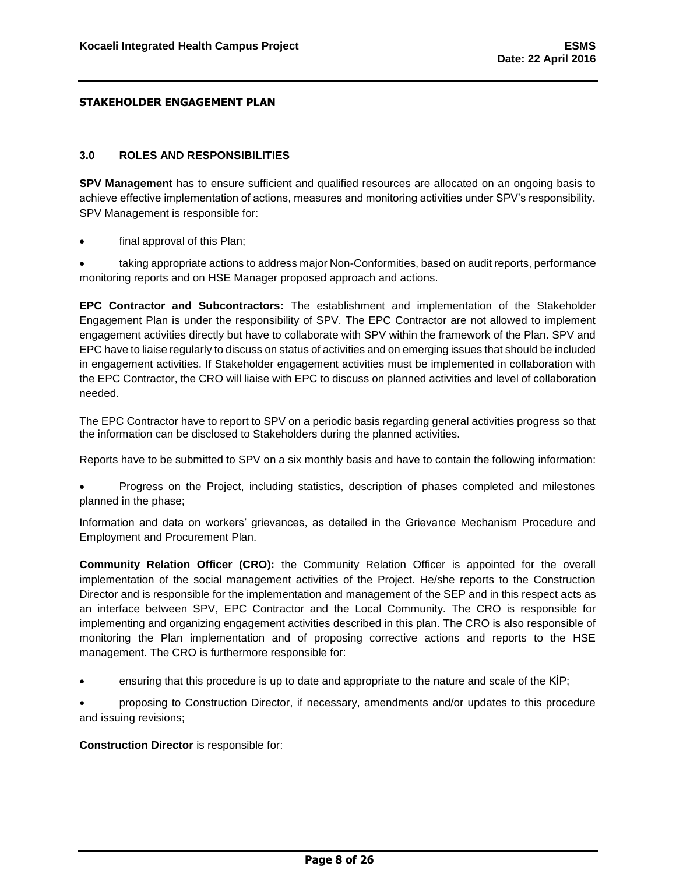#### <span id="page-8-0"></span>**3.0 ROLES AND RESPONSIBILITIES**

**SPV Management** has to ensure sufficient and qualified resources are allocated on an ongoing basis to achieve effective implementation of actions, measures and monitoring activities under SPV's responsibility. SPV Management is responsible for:

final approval of this Plan;

 taking appropriate actions to address major Non-Conformities, based on audit reports, performance monitoring reports and on HSE Manager proposed approach and actions.

**EPC Contractor and Subcontractors:** The establishment and implementation of the Stakeholder Engagement Plan is under the responsibility of SPV. The EPC Contractor are not allowed to implement engagement activities directly but have to collaborate with SPV within the framework of the Plan. SPV and EPC have to liaise regularly to discuss on status of activities and on emerging issues that should be included in engagement activities. If Stakeholder engagement activities must be implemented in collaboration with the EPC Contractor, the CRO will liaise with EPC to discuss on planned activities and level of collaboration needed.

The EPC Contractor have to report to SPV on a periodic basis regarding general activities progress so that the information can be disclosed to Stakeholders during the planned activities.

Reports have to be submitted to SPV on a six monthly basis and have to contain the following information:

 Progress on the Project, including statistics, description of phases completed and milestones planned in the phase;

Information and data on workers' grievances, as detailed in the Grievance Mechanism Procedure and Employment and Procurement Plan.

**Community Relation Officer (CRO):** the Community Relation Officer is appointed for the overall implementation of the social management activities of the Project. He/she reports to the Construction Director and is responsible for the implementation and management of the SEP and in this respect acts as an interface between SPV, EPC Contractor and the Local Community. The CRO is responsible for implementing and organizing engagement activities described in this plan. The CRO is also responsible of monitoring the Plan implementation and of proposing corrective actions and reports to the HSE management. The CRO is furthermore responsible for:

ensuring that this procedure is up to date and appropriate to the nature and scale of the KİP;

 proposing to Construction Director, if necessary, amendments and/or updates to this procedure and issuing revisions;

**Construction Director** is responsible for: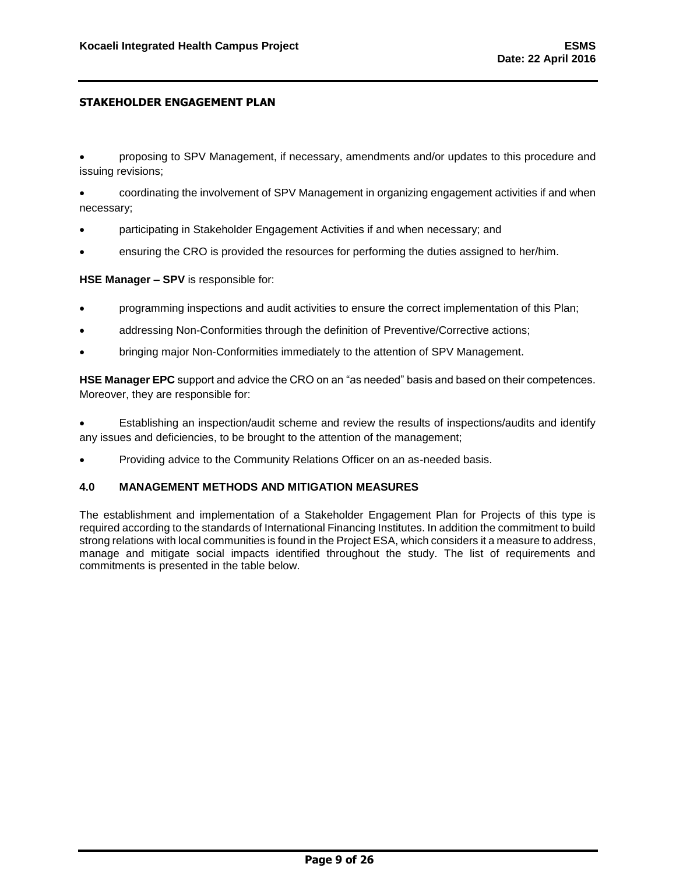proposing to SPV Management, if necessary, amendments and/or updates to this procedure and issuing revisions;

 coordinating the involvement of SPV Management in organizing engagement activities if and when necessary;

- participating in Stakeholder Engagement Activities if and when necessary; and
- ensuring the CRO is provided the resources for performing the duties assigned to her/him.

#### **HSE Manager – SPV** is responsible for:

- programming inspections and audit activities to ensure the correct implementation of this Plan;
- addressing Non-Conformities through the definition of Preventive/Corrective actions;
- bringing major Non-Conformities immediately to the attention of SPV Management.

**HSE Manager EPC** support and advice the CRO on an "as needed" basis and based on their competences. Moreover, they are responsible for:

 Establishing an inspection/audit scheme and review the results of inspections/audits and identify any issues and deficiencies, to be brought to the attention of the management;

Providing advice to the Community Relations Officer on an as-needed basis.

#### <span id="page-9-0"></span>**4.0 MANAGEMENT METHODS AND MITIGATION MEASURES**

The establishment and implementation of a Stakeholder Engagement Plan for Projects of this type is required according to the standards of International Financing Institutes. In addition the commitment to build strong relations with local communities is found in the Project ESA, which considers it a measure to address, manage and mitigate social impacts identified throughout the study. The list of requirements and commitments is presented in the table below.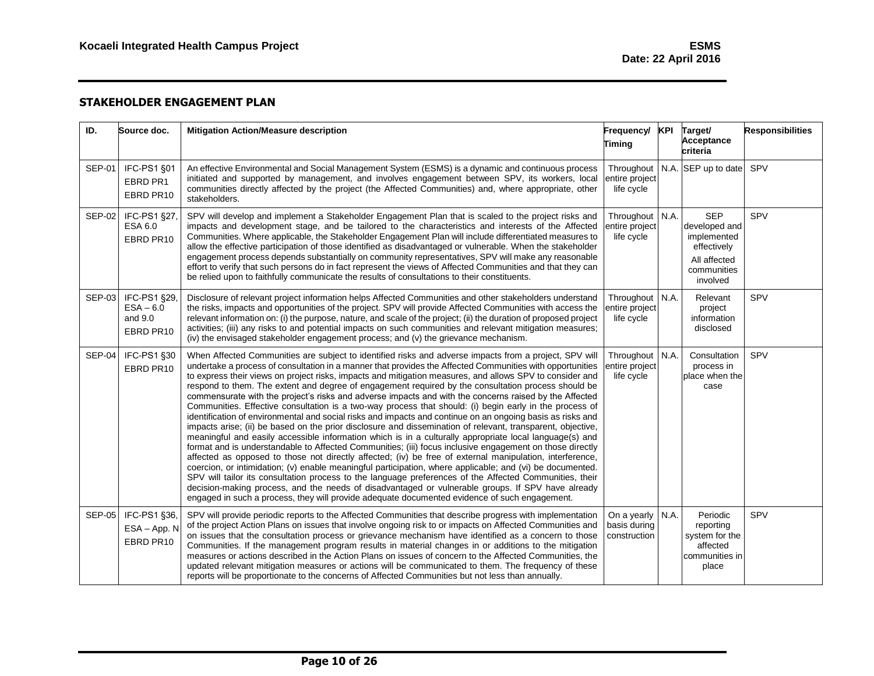| ID.           | Source doc.                                           | <b>Mitigation Action/Measure description</b>                                                                                                                                                                                                                                                                                                                                                                                                                                                                                                                                                                                                                                                                                                                                                                                                                                                                                                                                                                                                                                                                                                                                                                                                                                                                                                                                                                                                                                                                                                                                                                                                              | Frequency/<br><b>Timing</b>                 | KPI  | Target/<br><b>Acceptance</b><br>criteria                                                             | <b>Responsibilities</b> |
|---------------|-------------------------------------------------------|-----------------------------------------------------------------------------------------------------------------------------------------------------------------------------------------------------------------------------------------------------------------------------------------------------------------------------------------------------------------------------------------------------------------------------------------------------------------------------------------------------------------------------------------------------------------------------------------------------------------------------------------------------------------------------------------------------------------------------------------------------------------------------------------------------------------------------------------------------------------------------------------------------------------------------------------------------------------------------------------------------------------------------------------------------------------------------------------------------------------------------------------------------------------------------------------------------------------------------------------------------------------------------------------------------------------------------------------------------------------------------------------------------------------------------------------------------------------------------------------------------------------------------------------------------------------------------------------------------------------------------------------------------------|---------------------------------------------|------|------------------------------------------------------------------------------------------------------|-------------------------|
| <b>SEP-01</b> | IFC-PS1 §01<br>EBRD PR1<br>EBRD PR10                  | An effective Environmental and Social Management System (ESMS) is a dynamic and continuous process<br>initiated and supported by management, and involves engagement between SPV, its workers, local<br>communities directly affected by the project (the Affected Communities) and, where appropriate, other<br>stakeholders.                                                                                                                                                                                                                                                                                                                                                                                                                                                                                                                                                                                                                                                                                                                                                                                                                                                                                                                                                                                                                                                                                                                                                                                                                                                                                                                            | Throughout<br>entire project<br>life cycle  |      | N.A. SEP up to date                                                                                  | SPV                     |
| <b>SEP-02</b> | IFC-PS1 §27,<br>ESA 6.0<br>EBRD PR10                  | SPV will develop and implement a Stakeholder Engagement Plan that is scaled to the project risks and<br>impacts and development stage, and be tailored to the characteristics and interests of the Affected<br>Communities. Where applicable, the Stakeholder Engagement Plan will include differentiated measures to<br>allow the effective participation of those identified as disadvantaged or vulnerable. When the stakeholder<br>engagement process depends substantially on community representatives, SPV will make any reasonable<br>effort to verify that such persons do in fact represent the views of Affected Communities and that they can<br>be relied upon to faithfully communicate the results of consultations to their constituents.                                                                                                                                                                                                                                                                                                                                                                                                                                                                                                                                                                                                                                                                                                                                                                                                                                                                                                 | Throughout<br>entire project<br>life cycle  | N.A. | <b>SEP</b><br>developed and<br>implemented<br>effectively<br>All affected<br>communities<br>involved | SPV                     |
| $SEP-03$      | IFC-PS1 §29,<br>$ESA - 6.0$<br>and $9.0$<br>EBRD PR10 | Disclosure of relevant project information helps Affected Communities and other stakeholders understand<br>the risks, impacts and opportunities of the project. SPV will provide Affected Communities with access the<br>relevant information on: (i) the purpose, nature, and scale of the project; (ii) the duration of proposed project<br>activities; (iii) any risks to and potential impacts on such communities and relevant mitigation measures;<br>(iv) the envisaged stakeholder engagement process; and (v) the grievance mechanism.                                                                                                                                                                                                                                                                                                                                                                                                                                                                                                                                                                                                                                                                                                                                                                                                                                                                                                                                                                                                                                                                                                           | Throughout<br>entire project<br>life cycle  | N.A. | Relevant<br>project<br>information<br>disclosed                                                      | SPV                     |
| $SEP-04$      | IFC-PS1 §30<br>EBRD PR10                              | When Affected Communities are subject to identified risks and adverse impacts from a project, SPV will<br>undertake a process of consultation in a manner that provides the Affected Communities with opportunities<br>to express their views on project risks, impacts and mitigation measures, and allows SPV to consider and<br>respond to them. The extent and degree of engagement required by the consultation process should be<br>commensurate with the project's risks and adverse impacts and with the concerns raised by the Affected<br>Communities. Effective consultation is a two-way process that should: (i) begin early in the process of<br>identification of environmental and social risks and impacts and continue on an ongoing basis as risks and<br>impacts arise; (ii) be based on the prior disclosure and dissemination of relevant, transparent, objective,<br>meaningful and easily accessible information which is in a culturally appropriate local language(s) and<br>format and is understandable to Affected Communities; (iii) focus inclusive engagement on those directly<br>affected as opposed to those not directly affected; (iv) be free of external manipulation, interference,<br>coercion, or intimidation; (v) enable meaningful participation, where applicable; and (vi) be documented.<br>SPV will tailor its consultation process to the language preferences of the Affected Communities, their<br>decision-making process, and the needs of disadvantaged or vulnerable groups. If SPV have already<br>engaged in such a process, they will provide adequate documented evidence of such engagement. | Throughout<br>entire project<br>life cycle  | N.A. | Consultation<br>process in<br>place when the<br>case                                                 | SPV                     |
| $SEP-05$      | IFC-PS1 §36,<br>ESA - App. N<br>EBRD PR10             | SPV will provide periodic reports to the Affected Communities that describe progress with implementation<br>of the project Action Plans on issues that involve ongoing risk to or impacts on Affected Communities and<br>on issues that the consultation process or grievance mechanism have identified as a concern to those<br>Communities. If the management program results in material changes in or additions to the mitigation<br>measures or actions described in the Action Plans on issues of concern to the Affected Communities, the<br>updated relevant mitigation measures or actions will be communicated to them. The frequency of these<br>reports will be proportionate to the concerns of Affected Communities but not less than annually.                                                                                                                                                                                                                                                                                                                                                                                                                                                                                                                                                                                                                                                                                                                                                                                                                                                                                             | On a yearly<br>basis during<br>construction | N.A. | Periodic<br>reporting<br>system for the<br>affected<br>communities in<br>place                       | SPV                     |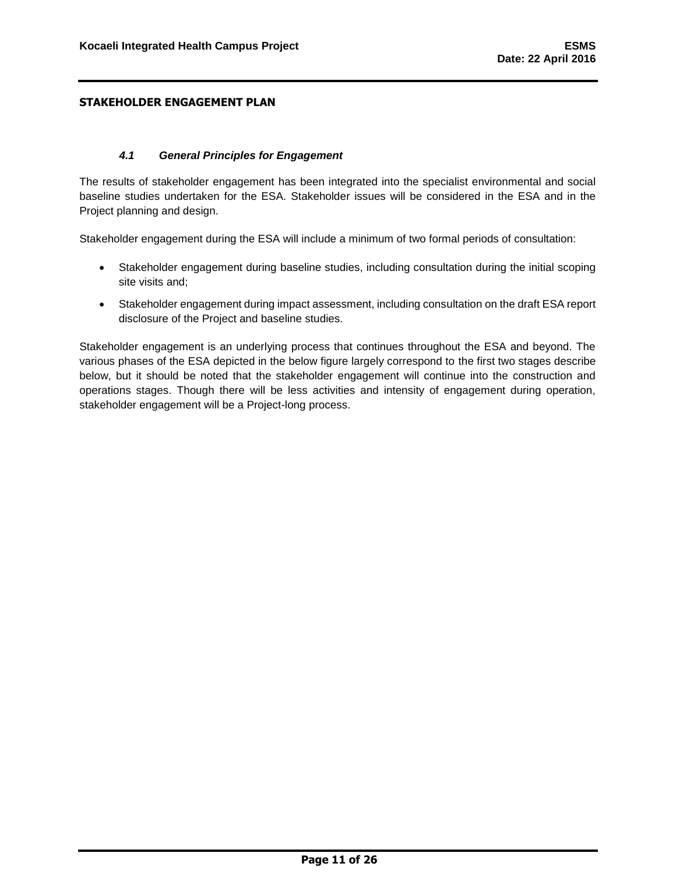#### *4.1 General Principles for Engagement*

<span id="page-11-0"></span>The results of stakeholder engagement has been integrated into the specialist environmental and social baseline studies undertaken for the ESA. Stakeholder issues will be considered in the ESA and in the Project planning and design.

Stakeholder engagement during the ESA will include a minimum of two formal periods of consultation:

- Stakeholder engagement during baseline studies, including consultation during the initial scoping site visits and;
- Stakeholder engagement during impact assessment, including consultation on the draft ESA report disclosure of the Project and baseline studies.

Stakeholder engagement is an underlying process that continues throughout the ESA and beyond. The various phases of the ESA depicted in the below figure largely correspond to the first two stages describe below, but it should be noted that the stakeholder engagement will continue into the construction and operations stages. Though there will be less activities and intensity of engagement during operation, stakeholder engagement will be a Project-long process.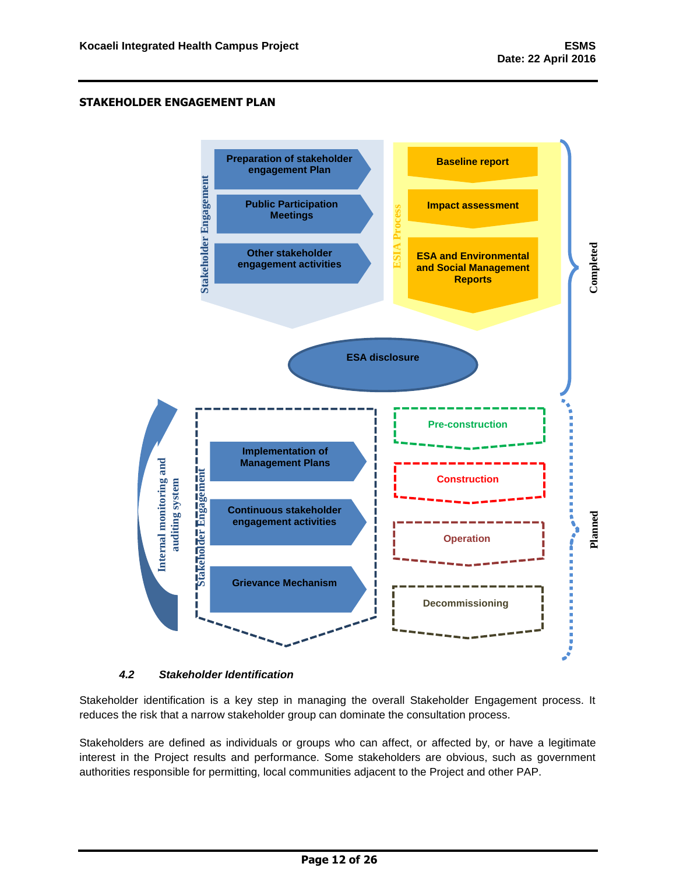

# *4.2 Stakeholder Identification*

<span id="page-12-0"></span>Stakeholder identification is a key step in managing the overall Stakeholder Engagement process. It reduces the risk that a narrow stakeholder group can dominate the consultation process.

Stakeholders are defined as individuals or groups who can affect, or affected by, or have a legitimate interest in the Project results and performance. Some stakeholders are obvious, such as government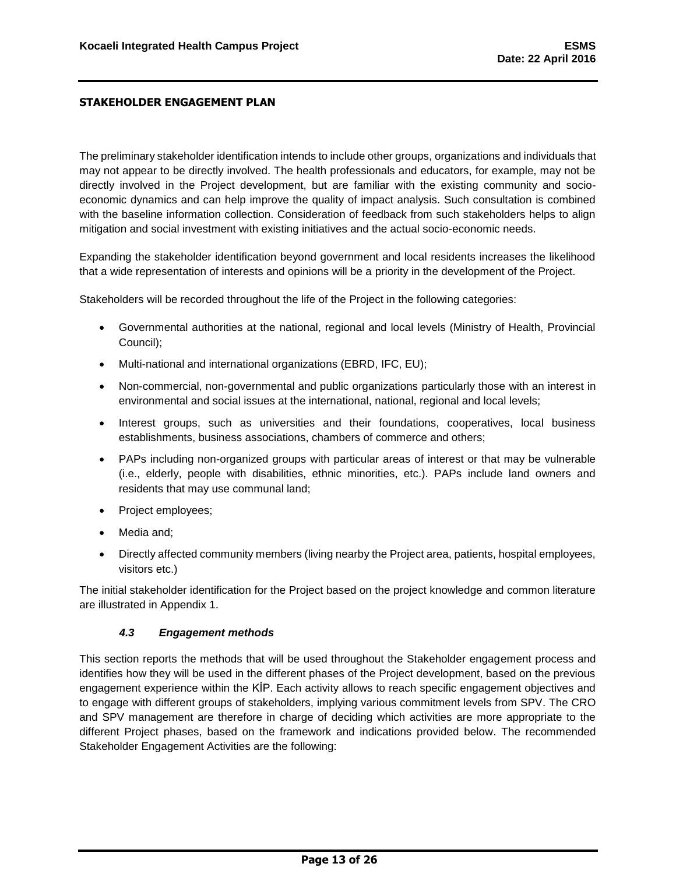The preliminary stakeholder identification intends to include other groups, organizations and individuals that may not appear to be directly involved. The health professionals and educators, for example, may not be directly involved in the Project development, but are familiar with the existing community and socioeconomic dynamics and can help improve the quality of impact analysis. Such consultation is combined with the baseline information collection. Consideration of feedback from such stakeholders helps to align mitigation and social investment with existing initiatives and the actual socio-economic needs.

Expanding the stakeholder identification beyond government and local residents increases the likelihood that a wide representation of interests and opinions will be a priority in the development of the Project.

Stakeholders will be recorded throughout the life of the Project in the following categories:

- Governmental authorities at the national, regional and local levels (Ministry of Health, Provincial Council);
- Multi-national and international organizations (EBRD, IFC, EU);
- Non-commercial, non-governmental and public organizations particularly those with an interest in environmental and social issues at the international, national, regional and local levels;
- Interest groups, such as universities and their foundations, cooperatives, local business establishments, business associations, chambers of commerce and others;
- PAPs including non-organized groups with particular areas of interest or that may be vulnerable (i.e., elderly, people with disabilities, ethnic minorities, etc.). PAPs include land owners and residents that may use communal land;
- Project employees;
- Media and;
- Directly affected community members (living nearby the Project area, patients, hospital employees, visitors etc.)

The initial stakeholder identification for the Project based on the project knowledge and common literature are illustrated in Appendix 1.

#### *4.3 Engagement methods*

<span id="page-13-0"></span>This section reports the methods that will be used throughout the Stakeholder engagement process and identifies how they will be used in the different phases of the Project development, based on the previous engagement experience within the KİP. Each activity allows to reach specific engagement objectives and to engage with different groups of stakeholders, implying various commitment levels from SPV. The CRO and SPV management are therefore in charge of deciding which activities are more appropriate to the different Project phases, based on the framework and indications provided below. The recommended Stakeholder Engagement Activities are the following: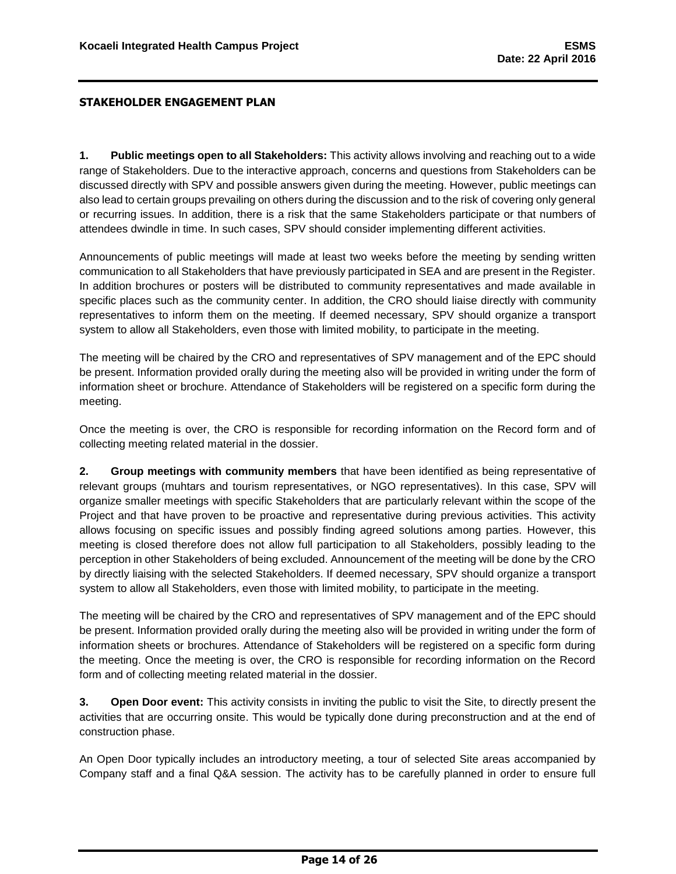**1. Public meetings open to all Stakeholders:** This activity allows involving and reaching out to a wide range of Stakeholders. Due to the interactive approach, concerns and questions from Stakeholders can be discussed directly with SPV and possible answers given during the meeting. However, public meetings can also lead to certain groups prevailing on others during the discussion and to the risk of covering only general or recurring issues. In addition, there is a risk that the same Stakeholders participate or that numbers of attendees dwindle in time. In such cases, SPV should consider implementing different activities.

Announcements of public meetings will made at least two weeks before the meeting by sending written communication to all Stakeholders that have previously participated in SEA and are present in the Register. In addition brochures or posters will be distributed to community representatives and made available in specific places such as the community center. In addition, the CRO should liaise directly with community representatives to inform them on the meeting. If deemed necessary, SPV should organize a transport system to allow all Stakeholders, even those with limited mobility, to participate in the meeting.

The meeting will be chaired by the CRO and representatives of SPV management and of the EPC should be present. Information provided orally during the meeting also will be provided in writing under the form of information sheet or brochure. Attendance of Stakeholders will be registered on a specific form during the meeting.

Once the meeting is over, the CRO is responsible for recording information on the Record form and of collecting meeting related material in the dossier.

**2. Group meetings with community members** that have been identified as being representative of relevant groups (muhtars and tourism representatives, or NGO representatives). In this case, SPV will organize smaller meetings with specific Stakeholders that are particularly relevant within the scope of the Project and that have proven to be proactive and representative during previous activities. This activity allows focusing on specific issues and possibly finding agreed solutions among parties. However, this meeting is closed therefore does not allow full participation to all Stakeholders, possibly leading to the perception in other Stakeholders of being excluded. Announcement of the meeting will be done by the CRO by directly liaising with the selected Stakeholders. If deemed necessary, SPV should organize a transport system to allow all Stakeholders, even those with limited mobility, to participate in the meeting.

The meeting will be chaired by the CRO and representatives of SPV management and of the EPC should be present. Information provided orally during the meeting also will be provided in writing under the form of information sheets or brochures. Attendance of Stakeholders will be registered on a specific form during the meeting. Once the meeting is over, the CRO is responsible for recording information on the Record form and of collecting meeting related material in the dossier.

**3. Open Door event:** This activity consists in inviting the public to visit the Site, to directly present the activities that are occurring onsite. This would be typically done during preconstruction and at the end of construction phase.

An Open Door typically includes an introductory meeting, a tour of selected Site areas accompanied by Company staff and a final Q&A session. The activity has to be carefully planned in order to ensure full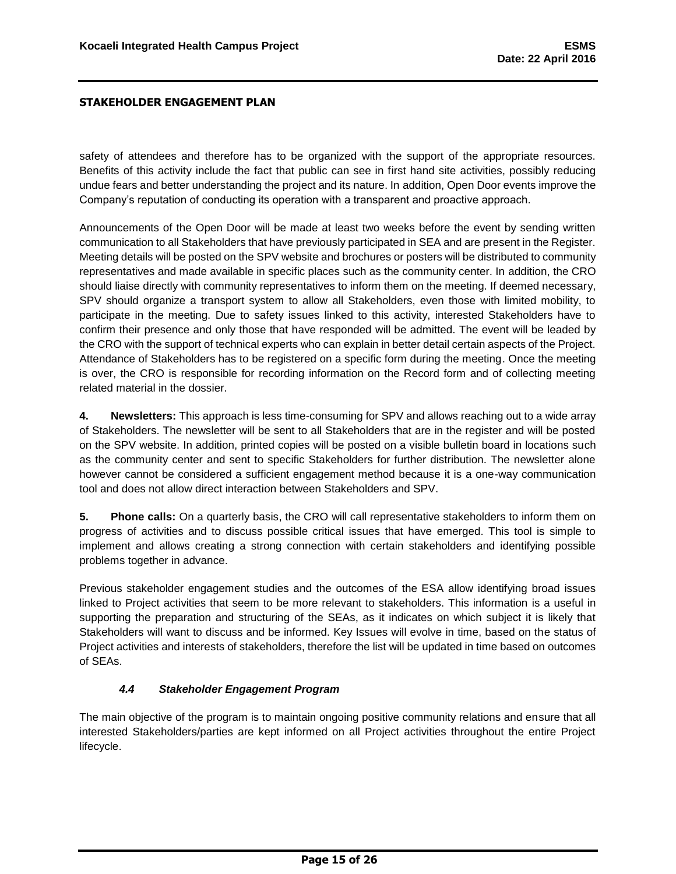safety of attendees and therefore has to be organized with the support of the appropriate resources. Benefits of this activity include the fact that public can see in first hand site activities, possibly reducing undue fears and better understanding the project and its nature. In addition, Open Door events improve the Company's reputation of conducting its operation with a transparent and proactive approach.

Announcements of the Open Door will be made at least two weeks before the event by sending written communication to all Stakeholders that have previously participated in SEA and are present in the Register. Meeting details will be posted on the SPV website and brochures or posters will be distributed to community representatives and made available in specific places such as the community center. In addition, the CRO should liaise directly with community representatives to inform them on the meeting. If deemed necessary, SPV should organize a transport system to allow all Stakeholders, even those with limited mobility, to participate in the meeting. Due to safety issues linked to this activity, interested Stakeholders have to confirm their presence and only those that have responded will be admitted. The event will be leaded by the CRO with the support of technical experts who can explain in better detail certain aspects of the Project. Attendance of Stakeholders has to be registered on a specific form during the meeting. Once the meeting is over, the CRO is responsible for recording information on the Record form and of collecting meeting related material in the dossier.

**4. Newsletters:** This approach is less time-consuming for SPV and allows reaching out to a wide array of Stakeholders. The newsletter will be sent to all Stakeholders that are in the register and will be posted on the SPV website. In addition, printed copies will be posted on a visible bulletin board in locations such as the community center and sent to specific Stakeholders for further distribution. The newsletter alone however cannot be considered a sufficient engagement method because it is a one-way communication tool and does not allow direct interaction between Stakeholders and SPV.

**5. Phone calls:** On a quarterly basis, the CRO will call representative stakeholders to inform them on progress of activities and to discuss possible critical issues that have emerged. This tool is simple to implement and allows creating a strong connection with certain stakeholders and identifying possible problems together in advance.

Previous stakeholder engagement studies and the outcomes of the ESA allow identifying broad issues linked to Project activities that seem to be more relevant to stakeholders. This information is a useful in supporting the preparation and structuring of the SEAs, as it indicates on which subject it is likely that Stakeholders will want to discuss and be informed. Key Issues will evolve in time, based on the status of Project activities and interests of stakeholders, therefore the list will be updated in time based on outcomes of SEAs.

# *4.4 Stakeholder Engagement Program*

<span id="page-15-0"></span>The main objective of the program is to maintain ongoing positive community relations and ensure that all interested Stakeholders/parties are kept informed on all Project activities throughout the entire Project lifecycle.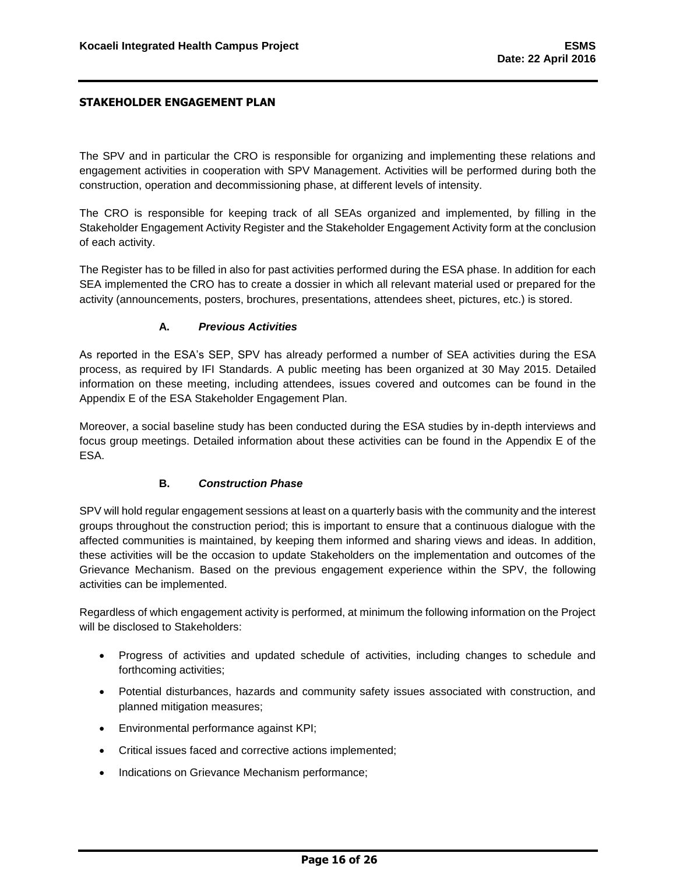The SPV and in particular the CRO is responsible for organizing and implementing these relations and engagement activities in cooperation with SPV Management. Activities will be performed during both the construction, operation and decommissioning phase, at different levels of intensity.

The CRO is responsible for keeping track of all SEAs organized and implemented, by filling in the Stakeholder Engagement Activity Register and the Stakeholder Engagement Activity form at the conclusion of each activity.

The Register has to be filled in also for past activities performed during the ESA phase. In addition for each SEA implemented the CRO has to create a dossier in which all relevant material used or prepared for the activity (announcements, posters, brochures, presentations, attendees sheet, pictures, etc.) is stored.

#### **A.** *Previous Activities*

<span id="page-16-0"></span>As reported in the ESA's SEP, SPV has already performed a number of SEA activities during the ESA process, as required by IFI Standards. A public meeting has been organized at 30 May 2015. Detailed information on these meeting, including attendees, issues covered and outcomes can be found in the Appendix E of the ESA Stakeholder Engagement Plan.

Moreover, a social baseline study has been conducted during the ESA studies by in-depth interviews and focus group meetings. Detailed information about these activities can be found in the Appendix E of the ESA.

# **B.** *Construction Phase*

<span id="page-16-1"></span>SPV will hold regular engagement sessions at least on a quarterly basis with the community and the interest groups throughout the construction period; this is important to ensure that a continuous dialogue with the affected communities is maintained, by keeping them informed and sharing views and ideas. In addition, these activities will be the occasion to update Stakeholders on the implementation and outcomes of the Grievance Mechanism. Based on the previous engagement experience within the SPV, the following activities can be implemented.

Regardless of which engagement activity is performed, at minimum the following information on the Project will be disclosed to Stakeholders:

- Progress of activities and updated schedule of activities, including changes to schedule and forthcoming activities;
- Potential disturbances, hazards and community safety issues associated with construction, and planned mitigation measures;
- Environmental performance against KPI;
- Critical issues faced and corrective actions implemented;
- Indications on Grievance Mechanism performance;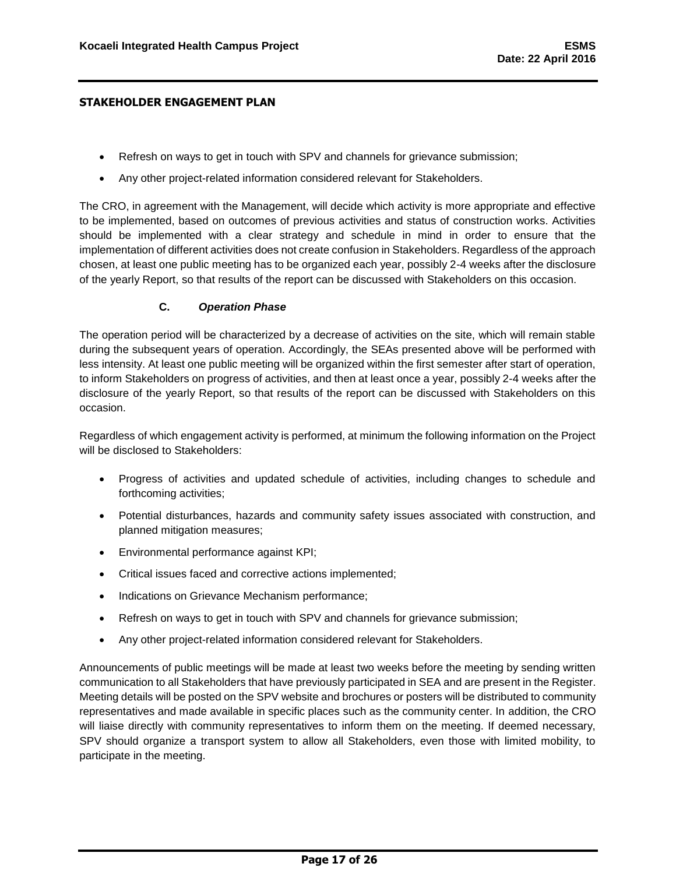- Refresh on ways to get in touch with SPV and channels for grievance submission;
- Any other project-related information considered relevant for Stakeholders.

The CRO, in agreement with the Management, will decide which activity is more appropriate and effective to be implemented, based on outcomes of previous activities and status of construction works. Activities should be implemented with a clear strategy and schedule in mind in order to ensure that the implementation of different activities does not create confusion in Stakeholders. Regardless of the approach chosen, at least one public meeting has to be organized each year, possibly 2-4 weeks after the disclosure of the yearly Report, so that results of the report can be discussed with Stakeholders on this occasion.

#### **C.** *Operation Phase*

<span id="page-17-0"></span>The operation period will be characterized by a decrease of activities on the site, which will remain stable during the subsequent years of operation. Accordingly, the SEAs presented above will be performed with less intensity. At least one public meeting will be organized within the first semester after start of operation, to inform Stakeholders on progress of activities, and then at least once a year, possibly 2-4 weeks after the disclosure of the yearly Report, so that results of the report can be discussed with Stakeholders on this occasion.

Regardless of which engagement activity is performed, at minimum the following information on the Project will be disclosed to Stakeholders:

- Progress of activities and updated schedule of activities, including changes to schedule and forthcoming activities;
- Potential disturbances, hazards and community safety issues associated with construction, and planned mitigation measures;
- Environmental performance against KPI;
- Critical issues faced and corrective actions implemented;
- Indications on Grievance Mechanism performance;
- Refresh on ways to get in touch with SPV and channels for grievance submission;
- Any other project-related information considered relevant for Stakeholders.

Announcements of public meetings will be made at least two weeks before the meeting by sending written communication to all Stakeholders that have previously participated in SEA and are present in the Register. Meeting details will be posted on the SPV website and brochures or posters will be distributed to community representatives and made available in specific places such as the community center. In addition, the CRO will liaise directly with community representatives to inform them on the meeting. If deemed necessary, SPV should organize a transport system to allow all Stakeholders, even those with limited mobility, to participate in the meeting.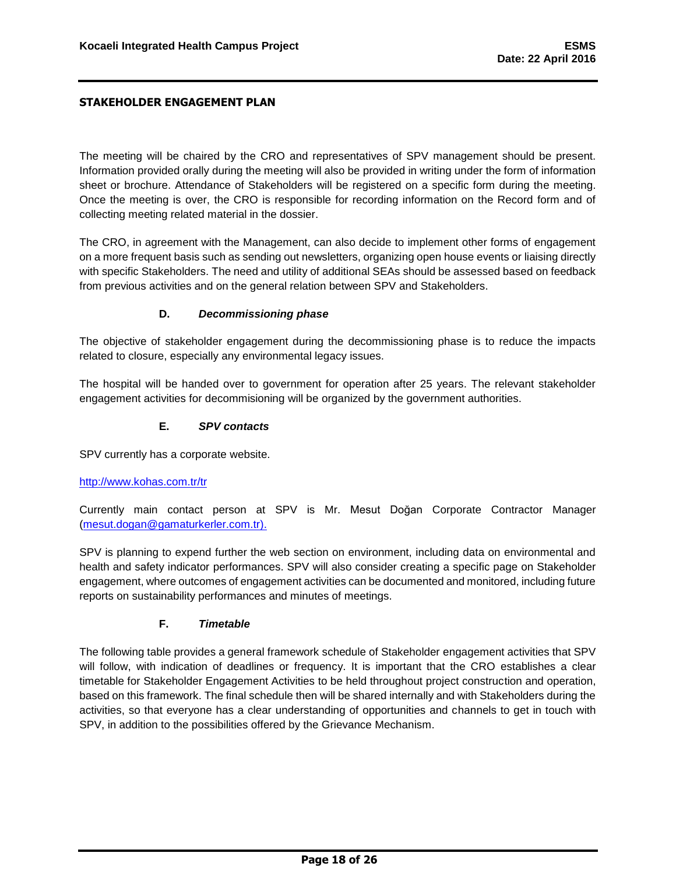The meeting will be chaired by the CRO and representatives of SPV management should be present. Information provided orally during the meeting will also be provided in writing under the form of information sheet or brochure. Attendance of Stakeholders will be registered on a specific form during the meeting. Once the meeting is over, the CRO is responsible for recording information on the Record form and of collecting meeting related material in the dossier.

The CRO, in agreement with the Management, can also decide to implement other forms of engagement on a more frequent basis such as sending out newsletters, organizing open house events or liaising directly with specific Stakeholders. The need and utility of additional SEAs should be assessed based on feedback from previous activities and on the general relation between SPV and Stakeholders.

#### **D.** *Decommissioning phase*

<span id="page-18-0"></span>The objective of stakeholder engagement during the decommissioning phase is to reduce the impacts related to closure, especially any environmental legacy issues.

The hospital will be handed over to government for operation after 25 years. The relevant stakeholder engagement activities for decommisioning will be organized by the government authorities.

#### **E.** *SPV contacts*

<span id="page-18-1"></span>SPV currently has a corporate website.

#### <http://www.kohas.com.tr/tr>

Currently main contact person at SPV is Mr. Mesut Doğan Corporate Contractor Manager [\(mesut.dogan@gamaturkerler.com.tr\)](mailto:mesut.dogan@gamaturkerler.com.tr).

SPV is planning to expend further the web section on environment, including data on environmental and health and safety indicator performances. SPV will also consider creating a specific page on Stakeholder engagement, where outcomes of engagement activities can be documented and monitored, including future reports on sustainability performances and minutes of meetings.

#### **F.** *Timetable*

<span id="page-18-2"></span>The following table provides a general framework schedule of Stakeholder engagement activities that SPV will follow, with indication of deadlines or frequency. It is important that the CRO establishes a clear timetable for Stakeholder Engagement Activities to be held throughout project construction and operation, based on this framework. The final schedule then will be shared internally and with Stakeholders during the activities, so that everyone has a clear understanding of opportunities and channels to get in touch with SPV, in addition to the possibilities offered by the Grievance Mechanism.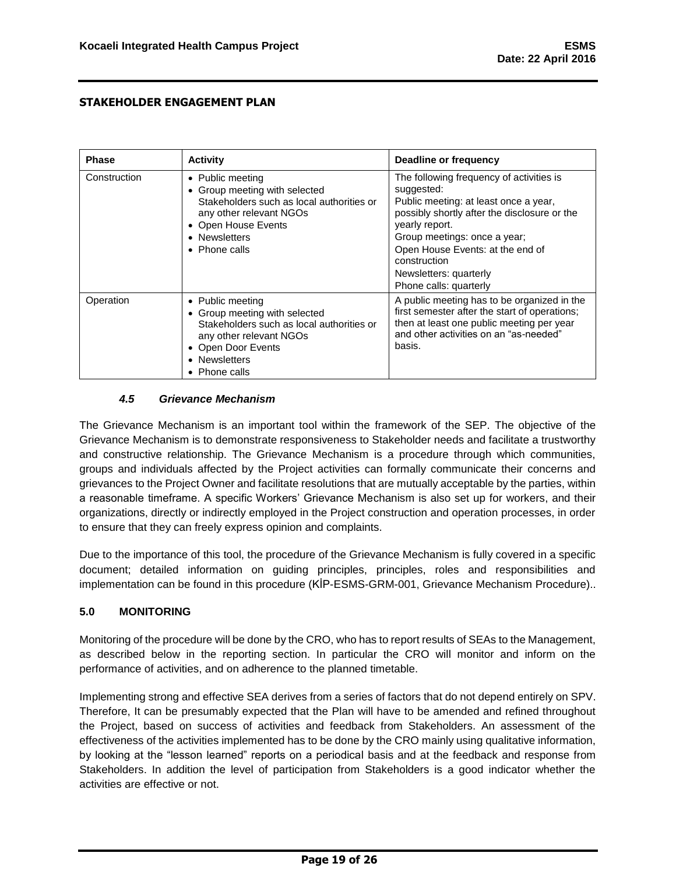| <b>Phase</b> | <b>Activity</b>                                                                                                                                                                    | Deadline or frequency                                                                                                                                                                                                                                                                                     |
|--------------|------------------------------------------------------------------------------------------------------------------------------------------------------------------------------------|-----------------------------------------------------------------------------------------------------------------------------------------------------------------------------------------------------------------------------------------------------------------------------------------------------------|
| Construction | • Public meeting<br>• Group meeting with selected<br>Stakeholders such as local authorities or<br>any other relevant NGOs<br>• Open House Events<br>• Newsletters<br>• Phone calls | The following frequency of activities is<br>suggested:<br>Public meeting: at least once a year,<br>possibly shortly after the disclosure or the<br>yearly report.<br>Group meetings: once a year;<br>Open House Events: at the end of<br>construction<br>Newsletters: quarterly<br>Phone calls: quarterly |
| Operation    | • Public meeting<br>• Group meeting with selected<br>Stakeholders such as local authorities or<br>any other relevant NGOs<br>• Open Door Events<br>• Newsletters<br>• Phone calls  | A public meeting has to be organized in the<br>first semester after the start of operations;<br>then at least one public meeting per year<br>and other activities on an "as-needed"<br>basis.                                                                                                             |

#### *4.5 Grievance Mechanism*

<span id="page-19-0"></span>The Grievance Mechanism is an important tool within the framework of the SEP. The objective of the Grievance Mechanism is to demonstrate responsiveness to Stakeholder needs and facilitate a trustworthy and constructive relationship. The Grievance Mechanism is a procedure through which communities, groups and individuals affected by the Project activities can formally communicate their concerns and grievances to the Project Owner and facilitate resolutions that are mutually acceptable by the parties, within a reasonable timeframe. A specific Workers' Grievance Mechanism is also set up for workers, and their organizations, directly or indirectly employed in the Project construction and operation processes, in order to ensure that they can freely express opinion and complaints.

Due to the importance of this tool, the procedure of the Grievance Mechanism is fully covered in a specific document; detailed information on guiding principles, principles, roles and responsibilities and implementation can be found in this procedure (KİP-ESMS-GRM-001, Grievance Mechanism Procedure)..

#### <span id="page-19-1"></span>**5.0 MONITORING**

Monitoring of the procedure will be done by the CRO, who has to report results of SEAs to the Management, as described below in the reporting section. In particular the CRO will monitor and inform on the performance of activities, and on adherence to the planned timetable.

Implementing strong and effective SEA derives from a series of factors that do not depend entirely on SPV. Therefore, It can be presumably expected that the Plan will have to be amended and refined throughout the Project, based on success of activities and feedback from Stakeholders. An assessment of the effectiveness of the activities implemented has to be done by the CRO mainly using qualitative information, by looking at the "lesson learned" reports on a periodical basis and at the feedback and response from Stakeholders. In addition the level of participation from Stakeholders is a good indicator whether the activities are effective or not.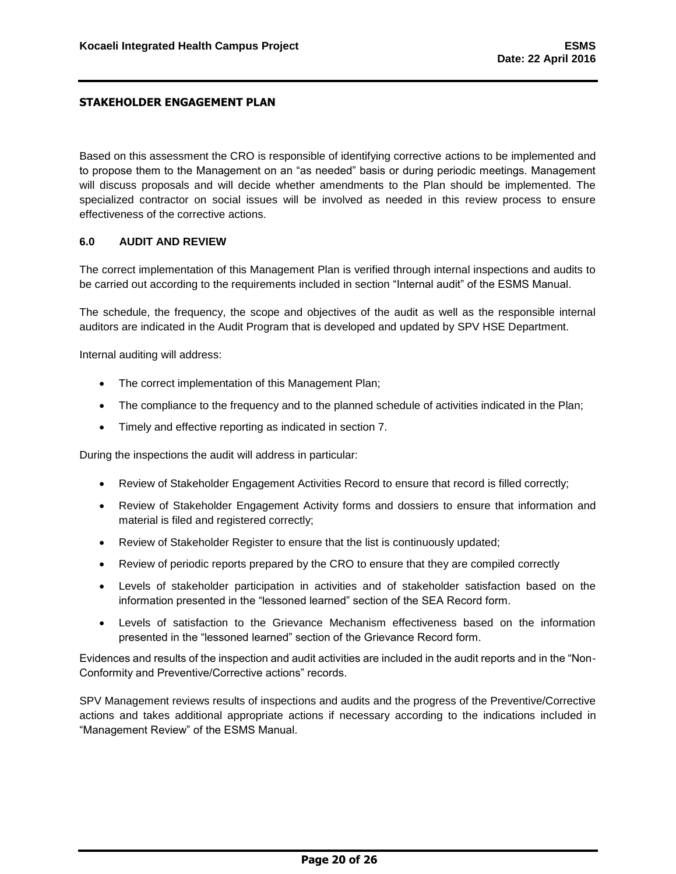Based on this assessment the CRO is responsible of identifying corrective actions to be implemented and to propose them to the Management on an "as needed" basis or during periodic meetings. Management will discuss proposals and will decide whether amendments to the Plan should be implemented. The specialized contractor on social issues will be involved as needed in this review process to ensure effectiveness of the corrective actions.

#### <span id="page-20-0"></span>**6.0 AUDIT AND REVIEW**

The correct implementation of this Management Plan is verified through internal inspections and audits to be carried out according to the requirements included in section "Internal audit" of the ESMS Manual.

The schedule, the frequency, the scope and objectives of the audit as well as the responsible internal auditors are indicated in the Audit Program that is developed and updated by SPV HSE Department.

Internal auditing will address:

- The correct implementation of this Management Plan;
- The compliance to the frequency and to the planned schedule of activities indicated in the Plan;
- Timely and effective reporting as indicated in section 7.

During the inspections the audit will address in particular:

- Review of Stakeholder Engagement Activities Record to ensure that record is filled correctly;
- Review of Stakeholder Engagement Activity forms and dossiers to ensure that information and material is filed and registered correctly;
- Review of Stakeholder Register to ensure that the list is continuously updated;
- Review of periodic reports prepared by the CRO to ensure that they are compiled correctly
- Levels of stakeholder participation in activities and of stakeholder satisfaction based on the information presented in the "lessoned learned" section of the SEA Record form.
- Levels of satisfaction to the Grievance Mechanism effectiveness based on the information presented in the "lessoned learned" section of the Grievance Record form.

Evidences and results of the inspection and audit activities are included in the audit reports and in the "Non-Conformity and Preventive/Corrective actions" records.

SPV Management reviews results of inspections and audits and the progress of the Preventive/Corrective actions and takes additional appropriate actions if necessary according to the indications included in "Management Review" of the ESMS Manual.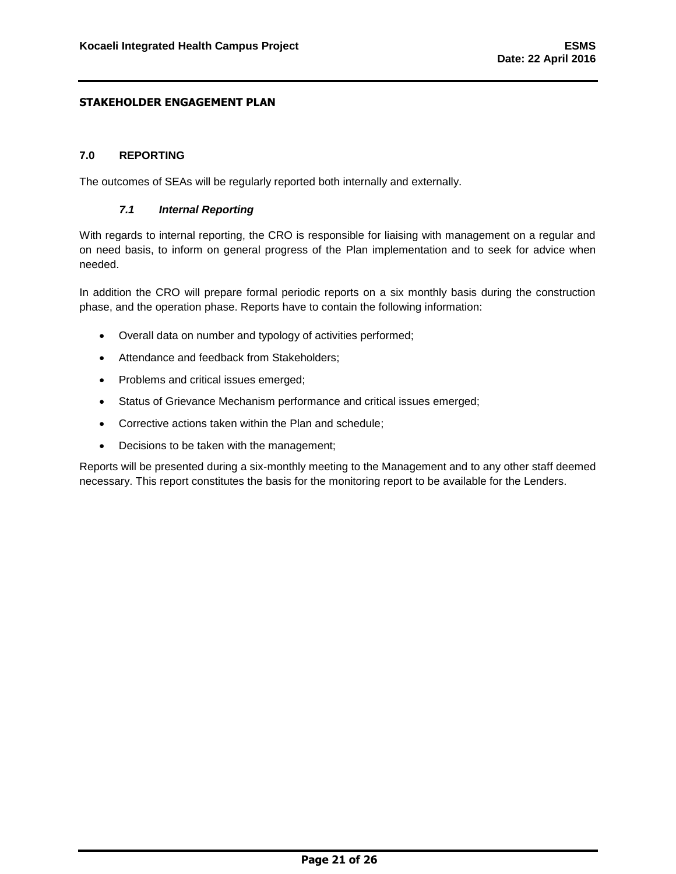#### <span id="page-21-0"></span>**7.0 REPORTING**

The outcomes of SEAs will be regularly reported both internally and externally.

# *7.1 Internal Reporting*

<span id="page-21-1"></span>With regards to internal reporting, the CRO is responsible for liaising with management on a regular and on need basis, to inform on general progress of the Plan implementation and to seek for advice when needed.

In addition the CRO will prepare formal periodic reports on a six monthly basis during the construction phase, and the operation phase. Reports have to contain the following information:

- Overall data on number and typology of activities performed;
- Attendance and feedback from Stakeholders;
- Problems and critical issues emerged;
- Status of Grievance Mechanism performance and critical issues emerged;
- Corrective actions taken within the Plan and schedule;
- Decisions to be taken with the management;

Reports will be presented during a six-monthly meeting to the Management and to any other staff deemed necessary. This report constitutes the basis for the monitoring report to be available for the Lenders.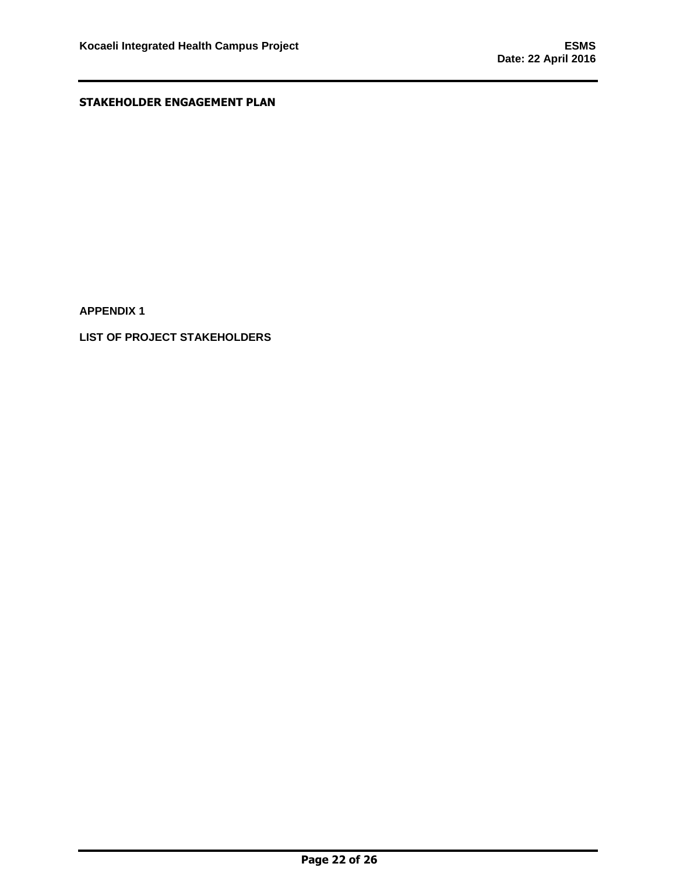**APPENDIX 1**

**LIST OF PROJECT STAKEHOLDERS**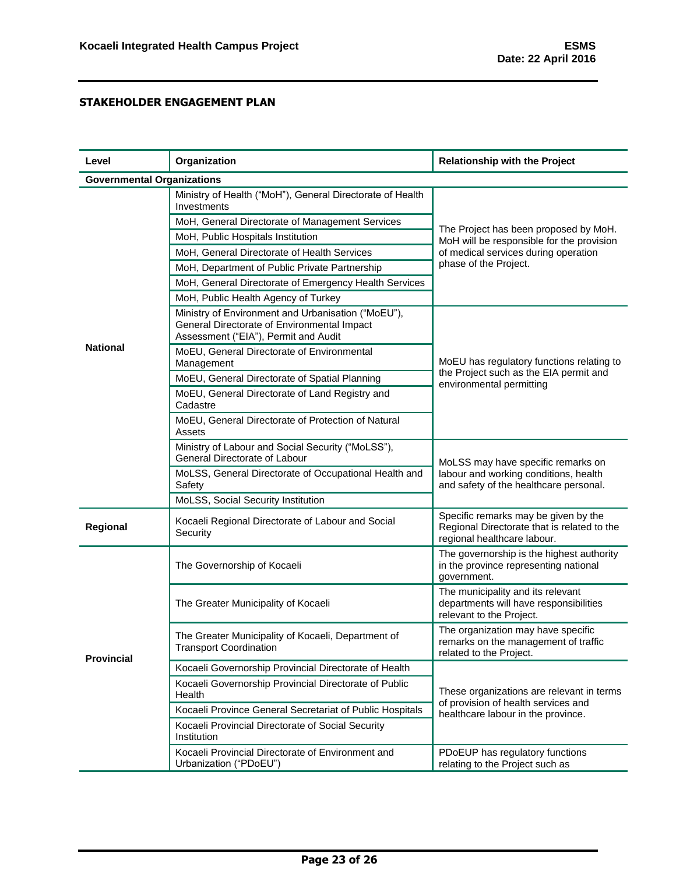| Level                             | Organization                                                                                                                              | <b>Relationship with the Project</b>                                                                               |  |  |
|-----------------------------------|-------------------------------------------------------------------------------------------------------------------------------------------|--------------------------------------------------------------------------------------------------------------------|--|--|
| <b>Governmental Organizations</b> |                                                                                                                                           |                                                                                                                    |  |  |
|                                   | Ministry of Health ("MoH"), General Directorate of Health<br>Investments                                                                  |                                                                                                                    |  |  |
|                                   | MoH, General Directorate of Management Services                                                                                           |                                                                                                                    |  |  |
|                                   | MoH, Public Hospitals Institution                                                                                                         | The Project has been proposed by MoH.<br>MoH will be responsible for the provision                                 |  |  |
|                                   | MoH, General Directorate of Health Services                                                                                               | of medical services during operation                                                                               |  |  |
|                                   | MoH, Department of Public Private Partnership                                                                                             | phase of the Project.                                                                                              |  |  |
|                                   | MoH, General Directorate of Emergency Health Services                                                                                     |                                                                                                                    |  |  |
|                                   | MoH, Public Health Agency of Turkey                                                                                                       |                                                                                                                    |  |  |
|                                   | Ministry of Environment and Urbanisation ("MoEU"),<br>General Directorate of Environmental Impact<br>Assessment ("EIA"), Permit and Audit |                                                                                                                    |  |  |
| <b>National</b>                   | MoEU, General Directorate of Environmental<br>Management                                                                                  | MoEU has regulatory functions relating to                                                                          |  |  |
|                                   | MoEU, General Directorate of Spatial Planning                                                                                             | the Project such as the EIA permit and<br>environmental permitting                                                 |  |  |
|                                   | MoEU, General Directorate of Land Registry and<br>Cadastre                                                                                |                                                                                                                    |  |  |
|                                   | MoEU, General Directorate of Protection of Natural<br>Assets                                                                              |                                                                                                                    |  |  |
|                                   | Ministry of Labour and Social Security ("MoLSS"),<br>General Directorate of Labour                                                        | MoLSS may have specific remarks on                                                                                 |  |  |
|                                   | MoLSS, General Directorate of Occupational Health and<br>Safety                                                                           | labour and working conditions, health<br>and safety of the healthcare personal.                                    |  |  |
|                                   | MoLSS, Social Security Institution                                                                                                        |                                                                                                                    |  |  |
| Regional                          | Kocaeli Regional Directorate of Labour and Social<br>Security                                                                             | Specific remarks may be given by the<br>Regional Directorate that is related to the<br>regional healthcare labour. |  |  |
| <b>Provincial</b>                 | The Governorship of Kocaeli                                                                                                               | The governorship is the highest authority<br>in the province representing national<br>government.                  |  |  |
|                                   | The Greater Municipality of Kocaeli                                                                                                       | The municipality and its relevant<br>departments will have responsibilities<br>relevant to the Project.            |  |  |
|                                   | The Greater Municipality of Kocaeli, Department of<br><b>Transport Coordination</b>                                                       | The organization may have specific<br>remarks on the management of traffic<br>related to the Project.              |  |  |
|                                   | Kocaeli Governorship Provincial Directorate of Health                                                                                     |                                                                                                                    |  |  |
|                                   | Kocaeli Governorship Provincial Directorate of Public<br>Health                                                                           | These organizations are relevant in terms                                                                          |  |  |
|                                   | Kocaeli Province General Secretariat of Public Hospitals                                                                                  | of provision of health services and<br>healthcare labour in the province.                                          |  |  |
|                                   | Kocaeli Provincial Directorate of Social Security<br>Institution                                                                          |                                                                                                                    |  |  |
|                                   | Kocaeli Provincial Directorate of Environment and<br>Urbanization ("PDoEU")                                                               | PDoEUP has regulatory functions<br>relating to the Project such as                                                 |  |  |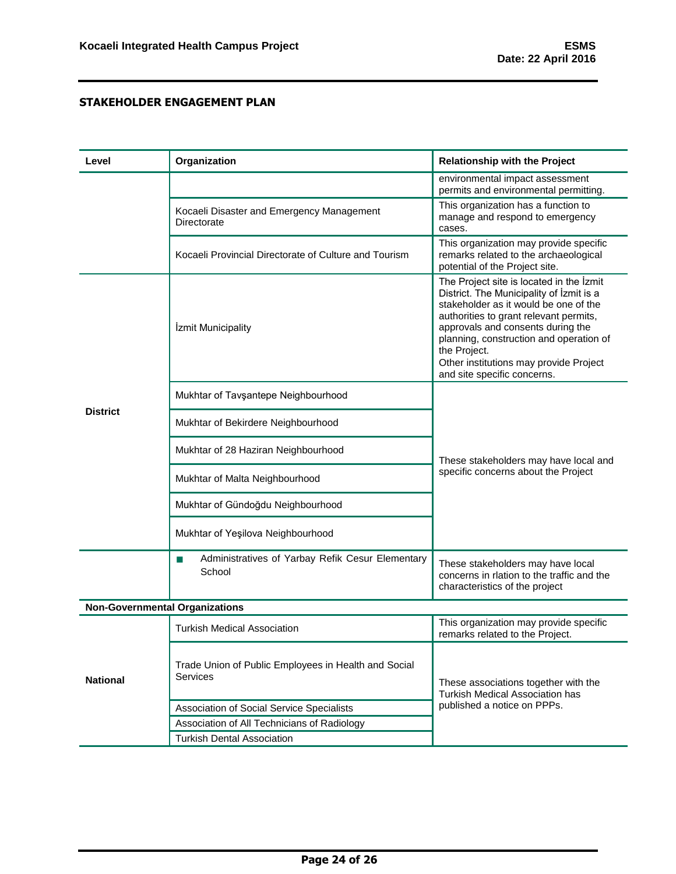| Level                                 | Organization                                                            | <b>Relationship with the Project</b>                                                                                                                                                                                                                                                                                                             |  |  |
|---------------------------------------|-------------------------------------------------------------------------|--------------------------------------------------------------------------------------------------------------------------------------------------------------------------------------------------------------------------------------------------------------------------------------------------------------------------------------------------|--|--|
|                                       |                                                                         | environmental impact assessment<br>permits and environmental permitting.                                                                                                                                                                                                                                                                         |  |  |
|                                       | Kocaeli Disaster and Emergency Management<br>Directorate                | This organization has a function to<br>manage and respond to emergency<br>cases.                                                                                                                                                                                                                                                                 |  |  |
|                                       | Kocaeli Provincial Directorate of Culture and Tourism                   | This organization may provide specific<br>remarks related to the archaeological<br>potential of the Project site.                                                                                                                                                                                                                                |  |  |
|                                       | <b>Izmit Municipality</b>                                               | The Project site is located in the İzmit<br>District. The Municipality of İzmit is a<br>stakeholder as it would be one of the<br>authorities to grant relevant permits,<br>approvals and consents during the<br>planning, construction and operation of<br>the Project.<br>Other institutions may provide Project<br>and site specific concerns. |  |  |
|                                       | Mukhtar of Tavşantepe Neighbourhood                                     |                                                                                                                                                                                                                                                                                                                                                  |  |  |
| <b>District</b>                       | Mukhtar of Bekirdere Neighbourhood                                      | These stakeholders may have local and<br>specific concerns about the Project                                                                                                                                                                                                                                                                     |  |  |
|                                       | Mukhtar of 28 Haziran Neighbourhood                                     |                                                                                                                                                                                                                                                                                                                                                  |  |  |
|                                       | Mukhtar of Malta Neighbourhood                                          |                                                                                                                                                                                                                                                                                                                                                  |  |  |
|                                       | Mukhtar of Gündoğdu Neighbourhood                                       |                                                                                                                                                                                                                                                                                                                                                  |  |  |
|                                       | Mukhtar of Yeşilova Neighbourhood                                       |                                                                                                                                                                                                                                                                                                                                                  |  |  |
|                                       | Administratives of Yarbay Refik Cesur Elementary<br>ш<br>School         | These stakeholders may have local<br>concerns in rlation to the traffic and the<br>characteristics of the project                                                                                                                                                                                                                                |  |  |
| <b>Non-Governmental Organizations</b> |                                                                         |                                                                                                                                                                                                                                                                                                                                                  |  |  |
|                                       | <b>Turkish Medical Association</b>                                      | This organization may provide specific<br>remarks related to the Project.                                                                                                                                                                                                                                                                        |  |  |
| <b>National</b>                       | Trade Union of Public Employees in Health and Social<br><b>Services</b> | These associations together with the<br><b>Turkish Medical Association has</b>                                                                                                                                                                                                                                                                   |  |  |
|                                       | Association of Social Service Specialists                               | published a notice on PPPs.                                                                                                                                                                                                                                                                                                                      |  |  |
|                                       | Association of All Technicians of Radiology                             |                                                                                                                                                                                                                                                                                                                                                  |  |  |
|                                       | <b>Turkish Dental Association</b>                                       |                                                                                                                                                                                                                                                                                                                                                  |  |  |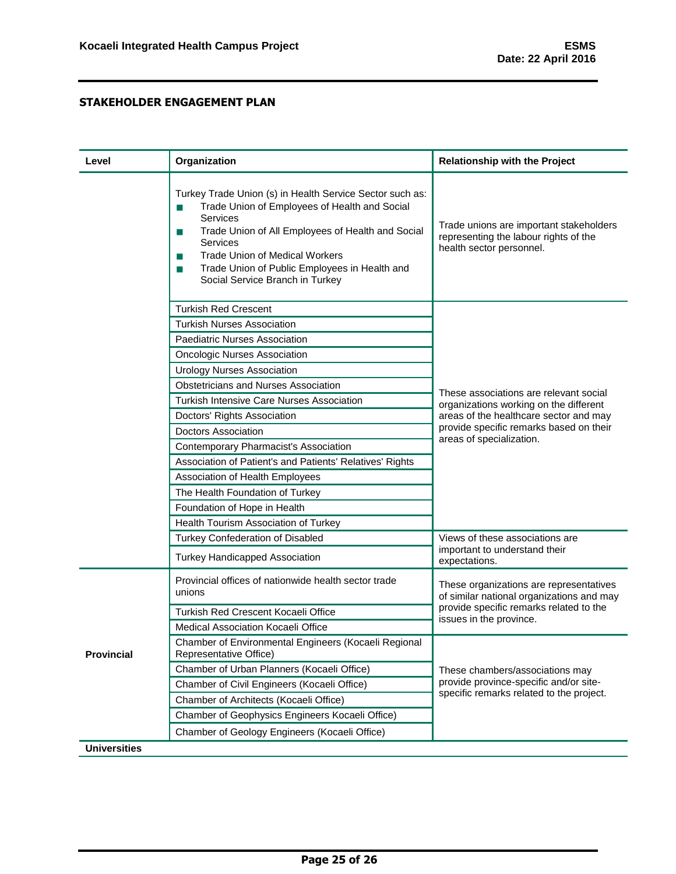| Level               | Organization                                                                                                                                                                                                                                                                                                                                                  | <b>Relationship with the Project</b>                                                                                                                                                              |  |
|---------------------|---------------------------------------------------------------------------------------------------------------------------------------------------------------------------------------------------------------------------------------------------------------------------------------------------------------------------------------------------------------|---------------------------------------------------------------------------------------------------------------------------------------------------------------------------------------------------|--|
|                     | Turkey Trade Union (s) in Health Service Sector such as:<br>Trade Union of Employees of Health and Social<br>$\blacksquare$<br><b>Services</b><br>Trade Union of All Employees of Health and Social<br>ш<br>Services<br><b>Trade Union of Medical Workers</b><br>T.<br>Trade Union of Public Employees in Health and<br>T.<br>Social Service Branch in Turkey | Trade unions are important stakeholders<br>representing the labour rights of the<br>health sector personnel.                                                                                      |  |
|                     | <b>Turkish Red Crescent</b><br><b>Turkish Nurses Association</b><br>Paediatric Nurses Association                                                                                                                                                                                                                                                             |                                                                                                                                                                                                   |  |
|                     | <b>Oncologic Nurses Association</b><br><b>Urology Nurses Association</b><br><b>Obstetricians and Nurses Association</b>                                                                                                                                                                                                                                       |                                                                                                                                                                                                   |  |
|                     | <b>Turkish Intensive Care Nurses Association</b><br>Doctors' Rights Association                                                                                                                                                                                                                                                                               | These associations are relevant social<br>organizations working on the different<br>areas of the healthcare sector and may<br>provide specific remarks based on their<br>areas of specialization. |  |
|                     | Doctors Association<br>Contemporary Pharmacist's Association                                                                                                                                                                                                                                                                                                  |                                                                                                                                                                                                   |  |
|                     | Association of Patient's and Patients' Relatives' Rights<br>Association of Health Employees<br>The Health Foundation of Turkey                                                                                                                                                                                                                                |                                                                                                                                                                                                   |  |
|                     | Foundation of Hope in Health<br>Health Tourism Association of Turkey                                                                                                                                                                                                                                                                                          |                                                                                                                                                                                                   |  |
|                     | Turkey Confederation of Disabled<br><b>Turkey Handicapped Association</b>                                                                                                                                                                                                                                                                                     | Views of these associations are<br>important to understand their<br>expectations.                                                                                                                 |  |
|                     | Provincial offices of nationwide health sector trade<br>unions                                                                                                                                                                                                                                                                                                | These organizations are representatives<br>of similar national organizations and may                                                                                                              |  |
|                     | Turkish Red Crescent Kocaeli Office<br>Medical Association Kocaeli Office                                                                                                                                                                                                                                                                                     | provide specific remarks related to the<br>issues in the province.                                                                                                                                |  |
| <b>Provincial</b>   | Chamber of Environmental Engineers (Kocaeli Regional<br>Representative Office)                                                                                                                                                                                                                                                                                |                                                                                                                                                                                                   |  |
|                     | Chamber of Urban Planners (Kocaeli Office)<br>Chamber of Civil Engineers (Kocaeli Office)<br>Chamber of Architects (Kocaeli Office)                                                                                                                                                                                                                           | These chambers/associations may<br>provide province-specific and/or site-<br>specific remarks related to the project.                                                                             |  |
|                     | Chamber of Geophysics Engineers Kocaeli Office)<br>Chamber of Geology Engineers (Kocaeli Office)                                                                                                                                                                                                                                                              |                                                                                                                                                                                                   |  |
| <b>Universities</b> |                                                                                                                                                                                                                                                                                                                                                               |                                                                                                                                                                                                   |  |